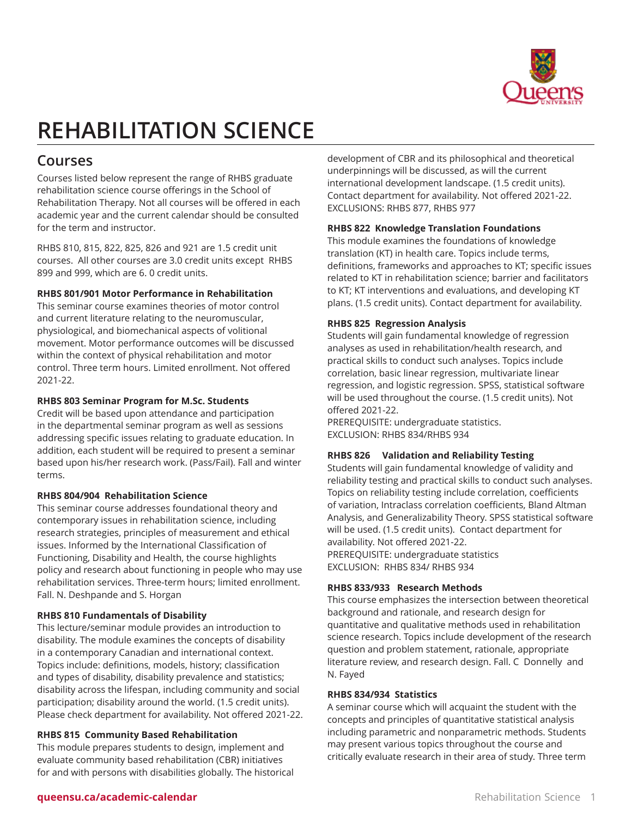

# **REHABILITATION SCIENCE**

# **Courses**

Courses listed below represent the range of RHBS graduate rehabilitation science course offerings in the School of Rehabilitation Therapy. Not all courses will be offered in each academic year and the current calendar should be consulted for the term and instructor.

RHBS 810, 815, 822, 825, 826 and 921 are 1.5 credit unit courses. All other courses are 3.0 credit units except RHBS 899 and 999, which are 6. 0 credit units.

#### **RHBS 801/901 Motor Performance in Rehabilitation**

This seminar course examines theories of motor control and current literature relating to the neuromuscular, physiological, and biomechanical aspects of volitional movement. Motor performance outcomes will be discussed within the context of physical rehabilitation and motor control. Three term hours. Limited enrollment. Not offered 2021-22.

# **RHBS 803 Seminar Program for M.Sc. Students**

Credit will be based upon attendance and participation in the departmental seminar program as well as sessions addressing specific issues relating to graduate education. In addition, each student will be required to present a seminar based upon his/her research work. (Pass/Fail). Fall and winter terms.

#### **RHBS 804/904 Rehabilitation Science**

This seminar course addresses foundational theory and contemporary issues in rehabilitation science, including research strategies, principles of measurement and ethical issues. Informed by the International Classification of Functioning, Disability and Health, the course highlights policy and research about functioning in people who may use rehabilitation services. Three-term hours; limited enrollment. Fall. N. Deshpande and S. Horgan

#### **RHBS 810 Fundamentals of Disability**

This lecture/seminar module provides an introduction to disability. The module examines the concepts of disability in a contemporary Canadian and international context. Topics include: definitions, models, history; classification and types of disability, disability prevalence and statistics; disability across the lifespan, including community and social participation; disability around the world. (1.5 credit units). Please check department for availability. Not offered 2021-22.

#### **RHBS 815 Community Based Rehabilitation**

This module prepares students to design, implement and evaluate community based rehabilitation (CBR) initiatives for and with persons with disabilities globally. The historical development of CBR and its philosophical and theoretical underpinnings will be discussed, as will the current international development landscape. (1.5 credit units). Contact department for availability. Not offered 2021-22. EXCLUSIONS: RHBS 877, RHBS 977

# **RHBS 822 Knowledge Translation Foundations**

This module examines the foundations of knowledge translation (KT) in health care. Topics include terms, definitions, frameworks and approaches to KT; specific issues related to KT in rehabilitation science; barrier and facilitators to KT; KT interventions and evaluations, and developing KT plans. (1.5 credit units). Contact department for availability.

# **RHBS 825 Regression Analysis**

Students will gain fundamental knowledge of regression analyses as used in rehabilitation/health research, and practical skills to conduct such analyses. Topics include correlation, basic linear regression, multivariate linear regression, and logistic regression. SPSS, statistical software will be used throughout the course. (1.5 credit units). Not offered 2021-22.

PREREQUISITE: undergraduate statistics. EXCLUSION: RHBS 834/RHBS 934

#### **RHBS 826 Validation and Reliability Testing**

Students will gain fundamental knowledge of validity and reliability testing and practical skills to conduct such analyses. Topics on reliability testing include correlation, coefficients of variation, Intraclass correlation coefficients, Bland Altman Analysis, and Generalizability Theory. SPSS statistical software will be used. (1.5 credit units). Contact department for availability. Not offered 2021-22. PREREQUISITE: undergraduate statistics EXCLUSION: RHBS 834/ RHBS 934

#### **RHBS 833/933 Research Methods**

This course emphasizes the intersection between theoretical background and rationale, and research design for quantitative and qualitative methods used in rehabilitation science research. Topics include development of the research question and problem statement, rationale, appropriate literature review, and research design. Fall. C Donnelly and N. Fayed

#### **RHBS 834/934 Statistics**

A seminar course which will acquaint the student with the concepts and principles of quantitative statistical analysis including parametric and nonparametric methods. Students may present various topics throughout the course and critically evaluate research in their area of study. Three term

# **queensu.ca/academic-calendar Rehabilitation Science 1**